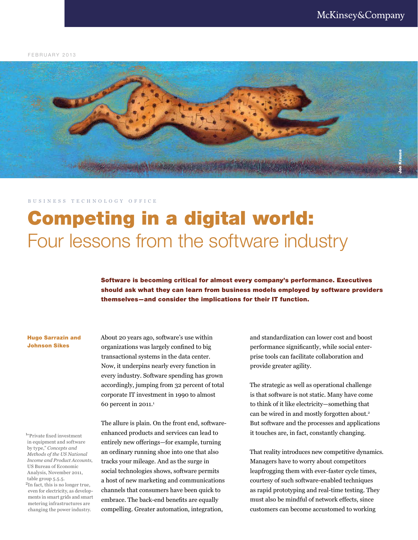FEBRUARY 2013



## B U S I N E S S T E C H N O L O G Y O F F I C E

# Competing in a digital world: Four lessons from the software industry

Software is becoming critical for almost every company's performance. Executives should ask what they can learn from business models employed by software providers themselves—and consider the implications for their IT function.

#### Hugo Sarrazin and Johnson Sikes

<sup>1</sup>"Private fixed investment in equipment and software by type," *Concepts and Methods of the US National Income and Product Accounts*, US Bureau of Economic Analysis, November 2011, table group 5.5.5.

<sup>2</sup>In fact, this is no longer true, even for electricity, as developments in smart grids and smart metering infrastructures are changing the power industry.

About 20 years ago, software's use within organizations was largely confined to big transactional systems in the data center. Now, it underpins nearly every function in every industry. Software spending has grown accordingly, jumping from 32 percent of total corporate IT investment in 1990 to almost 60 percent in  $2011.^1$ 

The allure is plain. On the front end, softwareenhanced products and services can lead to entirely new offerings—for example, turning an ordinary running shoe into one that also tracks your mileage. And as the surge in social technologies shows, software permits a host of new marketing and communications channels that consumers have been quick to embrace. The back-end benefits are equally compelling. Greater automation, integration,

and standardization can lower cost and boost performance significantly, while social enterprise tools can facilitate collaboration and provide greater agility.

The strategic as well as operational challenge is that software is not static. Many have come to think of it like electricity—something that can be wired in and mostly forgotten about.<sup>2</sup> But software and the processes and applications it touches are, in fact, constantly changing.

That reality introduces new competitive dynamics. Managers have to worry about competitors leapfrogging them with ever-faster cycle times, courtesy of such software-enabled techniques as rapid prototyping and real-time testing. They must also be mindful of network effects, since customers can become accustomed to working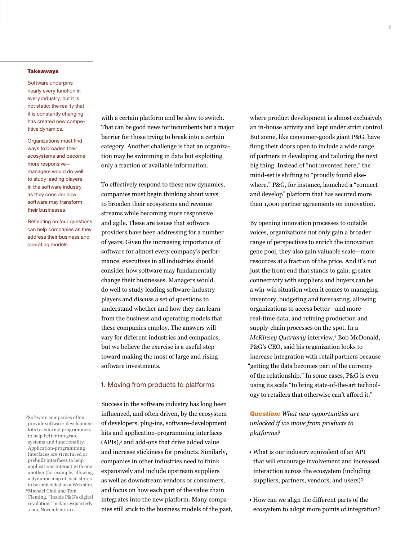#### **Takeaways**

Software underpins nearly every function in every industry, but it is not static; the reality that it is constantly changing has created new competitive dynamics.

Organizations must find ways to broaden their ecosystems and become more responsive managers would do well to study leading players in the software industry as they consider how software may transform their businesses.

Reflecting on four questions can help companies as they address their business and operating models.

3Software companies often provide software-development kits to external programmers to help better integrate systems and functionality. Application-programming interfaces are structured or prebuilt interfaces to help applications interact with one another (for example, allowing a dynamic map of local stores to be embedded on a Web site). <sup>4</sup>Michael Chui and Tom Fleming, "Inside P&G's digital revolution," mckinseyquarterly .com, November 2011.

with a certain platform and be slow to switch. That can be good news for incumbents but a major barrier for those trying to break into a certain category. Another challenge is that an organization may be swimming in data but exploiting only a fraction of available information.

To effectively respond to these new dynamics, companies must begin thinking about ways to broaden their ecosystems and revenue streams while becoming more responsive and agile. These are issues that software providers have been addressing for a number of years. Given the increasing importance of software for almost every company's performance, executives in all industries should consider how software may fundamentally change their businesses. Managers would do well to study leading software-industry players and discuss a set of questions to understand whether and how they can learn from the business and operating models that these companies employ. The answers will vary for different industries and companies, but we believe the exercise is a useful step toward making the most of large and rising software investments.

#### 1. Moving from products to platforms

Success in the software industry has long been influenced, and often driven, by the ecosystem of developers, plug-ins, software-development kits and application-programming interfaces (APIs),3 and add-ons that drive added value and increase stickiness for products. Similarly, companies in other industries need to think expansively and include upstream suppliers as well as downstream vendors or consumers, and focus on how each part of the value chain integrates into the new platform. Many companies still stick to the business models of the past, where product development is almost exclusively an in-house activity and kept under strict control. But some, like consumer-goods giant P&G, have flung their doors open to include a wide range of partners in developing and tailoring the next big thing. Instead of "not invented here," the mind-set is shifting to "proudly found elsewhere." P&G, for instance, launched a "connect and develop" platform that has secured more than 1,000 partner agreements on innovation.

By opening innovation processes to outside voices, organizations not only gain a broader range of perspectives to enrich the innovation gene pool, they also gain valuable scale—more resources at a fraction of the price. And it's not just the front end that stands to gain: greater connectivity with suppliers and buyers can be a win-win situation when it comes to managing inventory, budgeting and forecasting, allowing organizations to access better—and more real-time data, and refining production and supply-chain processes on the spot. In a *McKinsey Quarterly* interview,<sup>4</sup> Bob McDonald, P&G's CEO, said his organization looks to increase integration with retail partners because "getting the data becomes part of the currency of the relationship." In some cases, P&G is even using its scale "to bring state-of-the-art technology to retailers that otherwise can't afford it."

*Question: What new opportunities are unlocked if we move from products to platforms?* 

- What is our industry equivalent of an API that will encourage involvement and increased interaction across the ecosystem (including suppliers, partners, vendors, and users)?
- How can we align the different parts of the ecosystem to adopt more points of integration?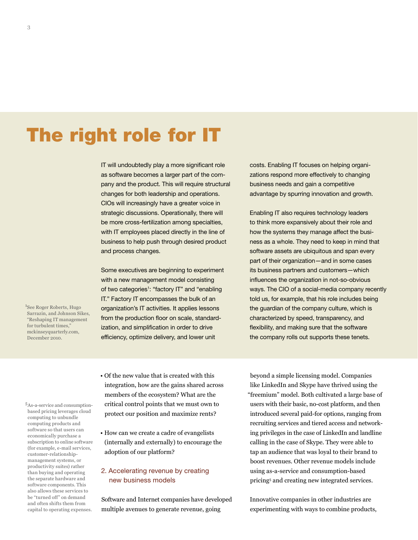# The right role for IT

IT will undoubtedly play a more significant role as software becomes a larger part of the company and the product. This will require structural changes for both leadership and operations. CIOs will increasingly have a greater voice in strategic discussions. Operationally, there will be more cross-fertilization among specialties, with IT employees placed directly in the line of business to help push through desired product and process changes.

Some executives are beginning to experiment with a new management model consisting of two categories<sup>1</sup>: "factory IT" and "enabling IT." Factory IT encompasses the bulk of an organization's IT activities. It applies lessons from the production floor on scale, standardization, and simplification in order to drive efficiency, optimize delivery, and lower unit

costs. Enabling IT focuses on helping organizations respond more effectively to changing business needs and gain a competitive advantage by spurring innovation and growth.

Enabling IT also requires technology leaders to think more expansively about their role and how the systems they manage affect the business as a whole. They need to keep in mind that software assets are ubiquitous and span every part of their organization—and in some cases its business partners and customers—which influences the organization in not-so-obvious ways. The CIO of a social-media company recently told us, for example, that his role includes being the guardian of the company culture, which is characterized by speed, transparency, and flexibility, and making sure that the software the company rolls out supports these tenets.

1 See Roger Roberts, Hugo Sarrazin, and Johnson Sikes, "Reshaping IT management for turbulent times," mckinseyquarterly.com, December 2010.

5As-a-service and consumptionbased pricing leverages cloud computing to unbundle computing products and software so that users can economically purchase a subscription to online software (for example, e-mail services, customer-relationshipmanagement systems, or productivity suites) rather than buying and operating the separate hardware and software components. This also allows these services to be "turned off" on demand and often shifts them from capital to operating expenses.

- Of the new value that is created with this integration, how are the gains shared across members of the ecosystem? What are the critical control points that we must own to protect our position and maximize rents?
- How can we create a cadre of evangelists (internally and externally) to encourage the adoption of our platform?

# 2. Accelerating revenue by creating new business models

Software and Internet companies have developed multiple avenues to generate revenue, going

beyond a simple licensing model. Companies like LinkedIn and Skype have thrived using the "freemium" model. Both cultivated a large base of users with their basic, no-cost platform, and then introduced several paid-for options, ranging from recruiting services and tiered access and networking privileges in the case of LinkedIn and landline calling in the case of Skype. They were able to tap an audience that was loyal to their brand to boost revenues. Other revenue models include using as-a-service and consumption-based pricing5 and creating new integrated services.

Innovative companies in other industries are experimenting with ways to combine products,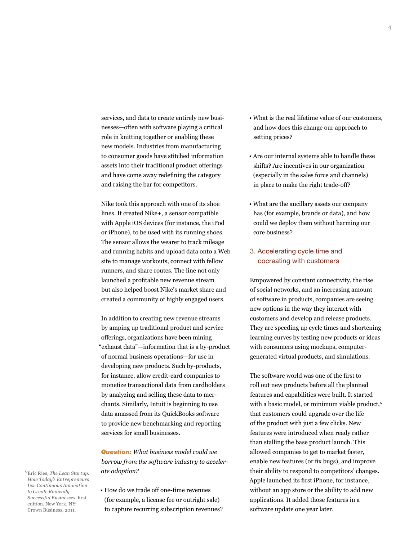services, and data to create entirely new businesses—often with software playing a critical role in knitting together or enabling these new models. Industries from manufacturing to consumer goods have stitched information assets into their traditional product offerings and have come away redefining the category and raising the bar for competitors.

Nike took this approach with one of its shoe lines. It created Nike+, a sensor compatible with Apple iOS devices (for instance, the iPod or iPhone), to be used with its running shoes. The sensor allows the wearer to track mileage and running habits and upload data onto a Web site to manage workouts, connect with fellow runners, and share routes. The line not only launched a profitable new revenue stream but also helped boost Nike's market share and created a community of highly engaged users.

In addition to creating new revenue streams by amping up traditional product and service offerings, organizations have been mining "exhaust data"—information that is a by-product of normal business operations—for use in developing new products. Such by-products, for instance, allow credit-card companies to monetize transactional data from cardholders by analyzing and selling these data to merchants. Similarly, Intuit is beginning to use data amassed from its QuickBooks software to provide new benchmarking and reporting services for small businesses.

*Question: What business model could we borrow from the software industry to accelerate adoption?*

- <sup>6</sup>Eric Ries, *The Lean Startup: How Today's Entrepreneurs Use Continuous Innovation to Create Radically Successful Businesses*, first edition, New York, NY: Crown Business, 2011.
- How do we trade off one-time revenues (for example, a license fee or outright sale) to capture recurring subscription revenues?
- What is the real lifetime value of our customers, and how does this change our approach to setting prices?
- Are our internal systems able to handle these shifts? Are incentives in our organization (especially in the sales force and channels) in place to make the right trade-off?
- What are the ancillary assets our company has (for example, brands or data), and how could we deploy them without harming our core business?
- 3. Accelerating cycle time and cocreating with customers

Empowered by constant connectivity, the rise of social networks, and an increasing amount of software in products, companies are seeing new options in the way they interact with customers and develop and release products. They are speeding up cycle times and shortening learning curves by testing new products or ideas with consumers using mockups, computergenerated virtual products, and simulations.

The software world was one of the first to roll out new products before all the planned features and capabilities were built. It started with a basic model, or minimum viable product,<sup>6</sup> that customers could upgrade over the life of the product with just a few clicks. New features were introduced when ready rather than stalling the base product launch. This allowed companies to get to market faster, enable new features (or fix bugs), and improve their ability to respond to competitors' changes. Apple launched its first iPhone, for instance, without an app store or the ability to add new applications. It added those features in a software update one year later.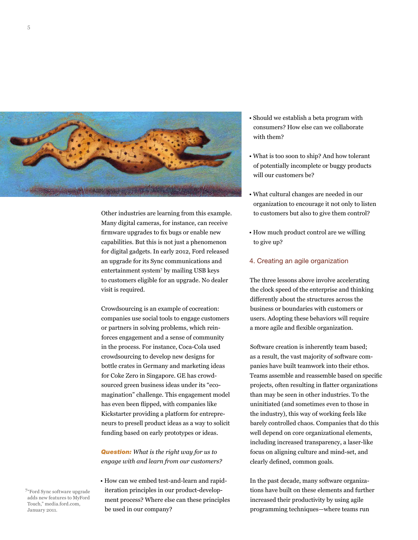

Other industries are learning from this example. Many digital cameras, for instance, can receive firmware upgrades to fix bugs or enable new capabilities. But this is not just a phenomenon for digital gadgets. In early 2012, Ford released an upgrade for its Sync communications and entertainment system7 by mailing USB keys to customers eligible for an upgrade. No dealer visit is required.

Crowdsourcing is an example of cocreation: companies use social tools to engage customers or partners in solving problems, which reinforces engagement and a sense of community in the process. For instance, Coca-Cola used crowdsourcing to develop new designs for bottle crates in Germany and marketing ideas for Coke Zero in Singapore. GE has crowdsourced green business ideas under its "ecomagination" challenge. This engagement model has even been flipped, with companies like Kickstarter providing a platform for entrepreneurs to presell product ideas as a way to solicit funding based on early prototypes or ideas.

*Question: What is the right way for us to engage with and learn from our customers?*

• How can we embed test-and-learn and rapiditeration principles in our product-development process? Where else can these principles be used in our company?

- Should we establish a beta program with consumers? How else can we collaborate with them?
- What is too soon to ship? And how tolerant of potentially incomplete or buggy products will our customers be?
- What cultural changes are needed in our organization to encourage it not only to listen to customers but also to give them control?
- How much product control are we willing to give up?

## 4. Creating an agile organization

The three lessons above involve accelerating the clock speed of the enterprise and thinking differently about the structures across the business or boundaries with customers or users. Adopting these behaviors will require a more agile and flexible organization.

Software creation is inherently team based; as a result, the vast majority of software companies have built teamwork into their ethos. Teams assemble and reassemble based on specific projects, often resulting in flatter organizations than may be seen in other industries. To the uninitiated (and sometimes even to those in the industry), this way of working feels like barely controlled chaos. Companies that do this well depend on core organizational elements, including increased transparency, a laser-like focus on aligning culture and mind-set, and clearly defined, common goals.

In the past decade, many software organizations have built on these elements and further increased their productivity by using agile programming techniques—where teams run

<sup>7</sup>"Ford Sync software upgrade adds new features to MyFord Touch," media.ford.com, January 2011.